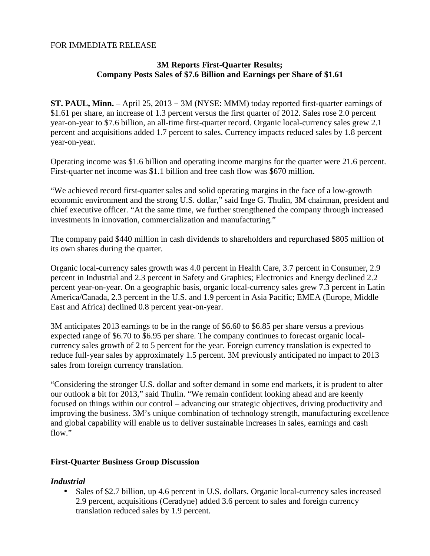### FOR IMMEDIATE RELEASE

## **3M Reports First-Quarter Results; Company Posts Sales of \$7.6 Billion and Earnings per Share of \$1.61**

**ST. PAUL, Minn.** – April 25, 2013 − 3M (NYSE: MMM) today reported first-quarter earnings of \$1.61 per share, an increase of 1.3 percent versus the first quarter of 2012. Sales rose 2.0 percent year-on-year to \$7.6 billion, an all-time first-quarter record. Organic local-currency sales grew 2.1 percent and acquisitions added 1.7 percent to sales. Currency impacts reduced sales by 1.8 percent year-on-year.

Operating income was \$1.6 billion and operating income margins for the quarter were 21.6 percent. First-quarter net income was \$1.1 billion and free cash flow was \$670 million.

"We achieved record first-quarter sales and solid operating margins in the face of a low-growth economic environment and the strong U.S. dollar," said Inge G. Thulin, 3M chairman, president and chief executive officer. "At the same time, we further strengthened the company through increased investments in innovation, commercialization and manufacturing."

The company paid \$440 million in cash dividends to shareholders and repurchased \$805 million of its own shares during the quarter.

Organic local-currency sales growth was 4.0 percent in Health Care, 3.7 percent in Consumer, 2.9 percent in Industrial and 2.3 percent in Safety and Graphics; Electronics and Energy declined 2.2 percent year-on-year. On a geographic basis, organic local-currency sales grew 7.3 percent in Latin America/Canada, 2.3 percent in the U.S. and 1.9 percent in Asia Pacific; EMEA (Europe, Middle East and Africa) declined 0.8 percent year-on-year.

3M anticipates 2013 earnings to be in the range of \$6.60 to \$6.85 per share versus a previous expected range of \$6.70 to \$6.95 per share. The company continues to forecast organic localcurrency sales growth of 2 to 5 percent for the year. Foreign currency translation is expected to reduce full-year sales by approximately 1.5 percent. 3M previously anticipated no impact to 2013 sales from foreign currency translation.

"Considering the stronger U.S. dollar and softer demand in some end markets, it is prudent to alter our outlook a bit for 2013," said Thulin. "We remain confident looking ahead and are keenly focused on things within our control – advancing our strategic objectives, driving productivity and improving the business. 3M's unique combination of technology strength, manufacturing excellence and global capability will enable us to deliver sustainable increases in sales, earnings and cash flow."

### **First-Quarter Business Group Discussion**

### *Industrial*

• Sales of \$2.7 billion, up 4.6 percent in U.S. dollars. Organic local-currency sales increased 2.9 percent, acquisitions (Ceradyne) added 3.6 percent to sales and foreign currency translation reduced sales by 1.9 percent.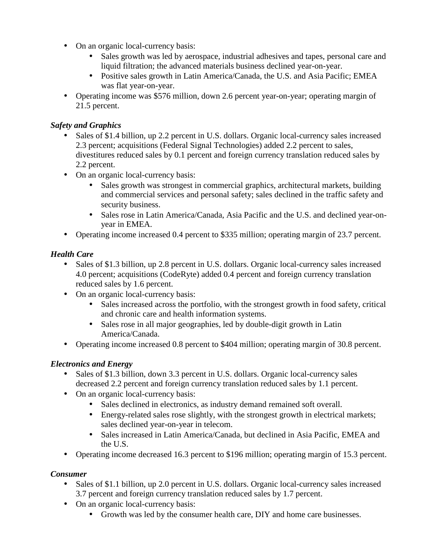- On an organic local-currency basis:
	- Sales growth was led by aerospace, industrial adhesives and tapes, personal care and liquid filtration; the advanced materials business declined year-on-year.
	- Positive sales growth in Latin America/Canada, the U.S. and Asia Pacific; EMEA was flat year-on-year.
- Operating income was \$576 million, down 2.6 percent year-on-year; operating margin of 21.5 percent.

## *Safety and Graphics*

- Sales of \$1.4 billion, up 2.2 percent in U.S. dollars. Organic local-currency sales increased 2.3 percent; acquisitions (Federal Signal Technologies) added 2.2 percent to sales, divestitures reduced sales by 0.1 percent and foreign currency translation reduced sales by 2.2 percent.
- On an organic local-currency basis:
	- Sales growth was strongest in commercial graphics, architectural markets, building and commercial services and personal safety; sales declined in the traffic safety and security business.
	- Sales rose in Latin America/Canada, Asia Pacific and the U.S. and declined year-onyear in EMEA.
- Operating income increased 0.4 percent to \$335 million; operating margin of 23.7 percent.

## *Health Care*

- Sales of \$1.3 billion, up 2.8 percent in U.S. dollars. Organic local-currency sales increased 4.0 percent; acquisitions (CodeRyte) added 0.4 percent and foreign currency translation reduced sales by 1.6 percent.
- On an organic local-currency basis:
	- Sales increased across the portfolio, with the strongest growth in food safety, critical and chronic care and health information systems.
	- Sales rose in all major geographies, led by double-digit growth in Latin America/Canada.
- Operating income increased 0.8 percent to \$404 million; operating margin of 30.8 percent.

### *Electronics and Energy*

- Sales of \$1.3 billion, down 3.3 percent in U.S. dollars. Organic local-currency sales decreased 2.2 percent and foreign currency translation reduced sales by 1.1 percent.
- On an organic local-currency basis:
	- Sales declined in electronics, as industry demand remained soft overall.
	- Energy-related sales rose slightly, with the strongest growth in electrical markets; sales declined year-on-year in telecom.
	- Sales increased in Latin America/Canada, but declined in Asia Pacific, EMEA and the U.S.
- Operating income decreased 16.3 percent to \$196 million; operating margin of 15.3 percent.

### *Consumer*

- Sales of \$1.1 billion, up 2.0 percent in U.S. dollars. Organic local-currency sales increased 3.7 percent and foreign currency translation reduced sales by 1.7 percent.
- On an organic local-currency basis:
	- Growth was led by the consumer health care, DIY and home care businesses.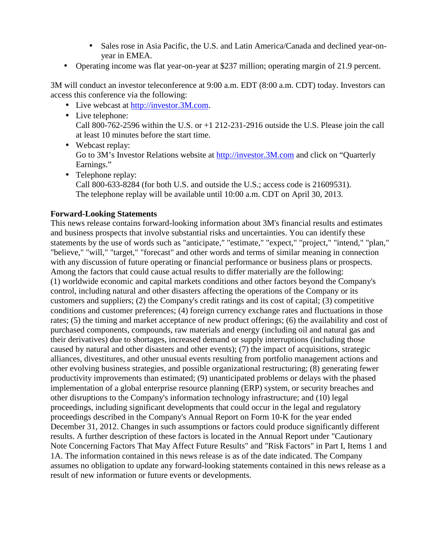- Sales rose in Asia Pacific, the U.S. and Latin America/Canada and declined year-onyear in EMEA.
- Operating income was flat year-on-year at \$237 million; operating margin of 21.9 percent.

3M will conduct an investor teleconference at 9:00 a.m. EDT (8:00 a.m. CDT) today. Investors can access this conference via the following:

- Live webcast at http://investor.3M.com.
- Live telephone: Call 800-762-2596 within the U.S. or +1 212-231-2916 outside the U.S. Please join the call at least 10 minutes before the start time.
- Webcast replay: Go to 3M's Investor Relations website at http://investor.3M.com and click on "Quarterly Earnings."
- Telephone replay: Call 800-633-8284 (for both U.S. and outside the U.S.; access code is 21609531). The telephone replay will be available until 10:00 a.m. CDT on April 30, 2013.

### **Forward-Looking Statements**

This news release contains forward-looking information about 3M's financial results and estimates and business prospects that involve substantial risks and uncertainties. You can identify these statements by the use of words such as "anticipate," "estimate," "expect," "project," "intend," "plan," "believe," "will," "target," "forecast" and other words and terms of similar meaning in connection with any discussion of future operating or financial performance or business plans or prospects. Among the factors that could cause actual results to differ materially are the following: (1) worldwide economic and capital markets conditions and other factors beyond the Company's control, including natural and other disasters affecting the operations of the Company or its customers and suppliers; (2) the Company's credit ratings and its cost of capital; (3) competitive conditions and customer preferences; (4) foreign currency exchange rates and fluctuations in those rates; (5) the timing and market acceptance of new product offerings; (6) the availability and cost of purchased components, compounds, raw materials and energy (including oil and natural gas and their derivatives) due to shortages, increased demand or supply interruptions (including those caused by natural and other disasters and other events); (7) the impact of acquisitions, strategic alliances, divestitures, and other unusual events resulting from portfolio management actions and other evolving business strategies, and possible organizational restructuring; (8) generating fewer productivity improvements than estimated; (9) unanticipated problems or delays with the phased implementation of a global enterprise resource planning (ERP) system, or security breaches and other disruptions to the Company's information technology infrastructure; and (10) legal proceedings, including significant developments that could occur in the legal and regulatory proceedings described in the Company's Annual Report on Form 10-K for the year ended December 31, 2012. Changes in such assumptions or factors could produce significantly different results. A further description of these factors is located in the Annual Report under "Cautionary Note Concerning Factors That May Affect Future Results" and "Risk Factors" in Part I, Items 1 and 1A. The information contained in this news release is as of the date indicated. The Company assumes no obligation to update any forward-looking statements contained in this news release as a result of new information or future events or developments.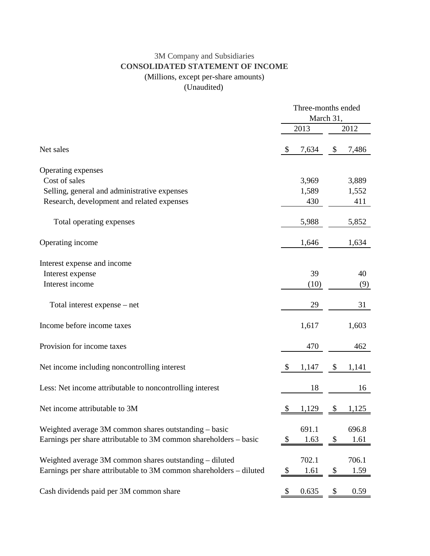# 3M Company and Subsidiaries **CONSOLIDATED STATEMENT OF INCOME** (Millions, except per-share amounts)

(Unaudited)

|                                                                     | Three-months ended<br>March 31, |       |    |       |  |
|---------------------------------------------------------------------|---------------------------------|-------|----|-------|--|
|                                                                     |                                 | 2013  |    | 2012  |  |
| Net sales                                                           | <sup>\$</sup>                   | 7,634 | \$ | 7,486 |  |
| Operating expenses                                                  |                                 |       |    |       |  |
| Cost of sales                                                       |                                 | 3,969 |    | 3,889 |  |
| Selling, general and administrative expenses                        |                                 | 1,589 |    | 1,552 |  |
| Research, development and related expenses                          |                                 | 430   |    | 411   |  |
| Total operating expenses                                            |                                 | 5,988 |    | 5,852 |  |
| Operating income                                                    |                                 | 1,646 |    | 1,634 |  |
| Interest expense and income                                         |                                 |       |    |       |  |
| Interest expense                                                    |                                 | 39    |    | 40    |  |
| Interest income                                                     |                                 | (10)  |    | (9)   |  |
| Total interest expense – net                                        |                                 | 29    |    | 31    |  |
| Income before income taxes                                          |                                 | 1,617 |    | 1,603 |  |
| Provision for income taxes                                          |                                 | 470   |    | 462   |  |
| Net income including noncontrolling interest                        | \$                              | 1,147 | \$ | 1,141 |  |
| Less: Net income attributable to noncontrolling interest            |                                 | 18    |    | 16    |  |
| Net income attributable to 3M                                       | \$                              | 1,129 | \$ | 1,125 |  |
| Weighted average 3M common shares outstanding – basic               |                                 | 691.1 |    | 696.8 |  |
| Earnings per share attributable to 3M common shareholders – basic   | \$                              | 1.63  | \$ | 1.61  |  |
| Weighted average 3M common shares outstanding – diluted             |                                 | 702.1 |    | 706.1 |  |
| Earnings per share attributable to 3M common shareholders - diluted | $\boldsymbol{\mathsf{S}}$       | 1.61  | \$ | 1.59  |  |
| Cash dividends paid per 3M common share                             |                                 | 0.635 |    | 0.59  |  |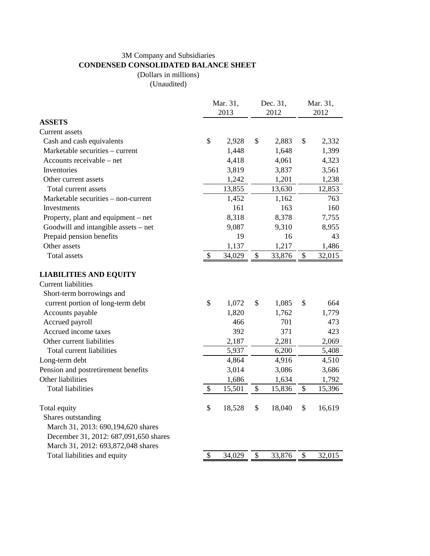## 3M Company and Subsidiaries **CONDENSED CONSOLIDATED BALANCE SHEET**

(Dollars in millions)

(Unaudited)

|                                       | Mar. 31,<br>2013 | Dec. 31,<br>2012 |        | Mar. 31,<br>2012 |        |
|---------------------------------------|------------------|------------------|--------|------------------|--------|
| <b>ASSETS</b>                         |                  |                  |        |                  |        |
| Current assets                        |                  |                  |        |                  |        |
| Cash and cash equivalents             | \$<br>2,928      | \$               | 2,883  | \$               | 2,332  |
| Marketable securities - current       | 1,448            |                  | 1,648  |                  | 1,399  |
| Accounts receivable – net             | 4,418            |                  | 4,061  |                  | 4,323  |
| Inventories                           | 3,819            |                  | 3,837  |                  | 3,561  |
| Other current assets                  | 1,242            |                  | 1,201  |                  | 1,238  |
| Total current assets                  | 13,855           |                  | 13,630 |                  | 12,853 |
| Marketable securities – non-current   | 1,452            |                  | 1,162  |                  | 763    |
| Investments                           | 161              |                  | 163    |                  | 160    |
| Property, plant and equipment – net   | 8,318            |                  | 8,378  |                  | 7,755  |
| Goodwill and intangible assets - net  | 9,087            |                  | 9,310  |                  | 8,955  |
| Prepaid pension benefits              | 19               |                  | 16     |                  | 43     |
| Other assets                          | 1,137            |                  | 1,217  |                  | 1,486  |
| <b>Total assets</b>                   | \$<br>34,029     | $\$$             | 33,876 | \$               | 32,015 |
| <b>LIABILITIES AND EQUITY</b>         |                  |                  |        |                  |        |
| <b>Current liabilities</b>            |                  |                  |        |                  |        |
| Short-term borrowings and             |                  |                  |        |                  |        |
| current portion of long-term debt     | \$<br>1,072      | \$               | 1,085  | \$               | 664    |
| Accounts payable                      | 1,820            |                  | 1,762  |                  | 1,779  |
| Accrued payroll                       | 466              |                  | 701    |                  | 473    |
| Accrued income taxes                  | 392              |                  | 371    | 423              |        |
| Other current liabilities             | 2,187            |                  | 2,281  |                  | 2,069  |
| Total current liabilities             | 5,937            |                  | 6,200  |                  | 5,408  |
| Long-term debt                        | 4,864            |                  | 4,916  |                  | 4,510  |
| Pension and postretirement benefits   | 3,014            |                  | 3,086  |                  | 3,686  |
| Other liabilities                     | 1,686            |                  | 1,634  |                  | 1,792  |
| <b>Total liabilities</b>              | \$<br>15,501     | \$               | 15,836 | \$               | 15,396 |
| Total equity                          | \$<br>18,528     | \$               | 18,040 | \$               | 16,619 |
| Shares outstanding                    |                  |                  |        |                  |        |
| March 31, 2013: 690, 194, 620 shares  |                  |                  |        |                  |        |
| December 31, 2012: 687,091,650 shares |                  |                  |        |                  |        |
| March 31, 2012: 693,872,048 shares    |                  |                  |        |                  |        |
| Total liabilities and equity          | \$<br>34,029     | \$               | 33,876 | \$               | 32,015 |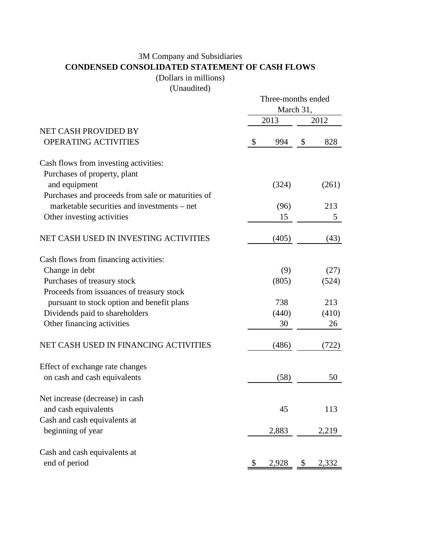# 3M Company and Subsidiaries **CONDENSED CONSOLIDATED STATEMENT OF CASH FLOWS**

(Dollars in millions)

(Unaudited)

|                                                                                         | Three-months ended<br>March 31, |          |               |  |
|-----------------------------------------------------------------------------------------|---------------------------------|----------|---------------|--|
|                                                                                         | 2013                            |          | 2012          |  |
| NET CASH PROVIDED BY<br><b>OPERATING ACTIVITIES</b>                                     | \$<br>994                       | \$       | 828           |  |
| Cash flows from investing activities:<br>Purchases of property, plant                   |                                 |          |               |  |
| and equipment<br>Purchases and proceeds from sale or maturities of                      | (324)                           |          | (261)         |  |
| marketable securities and investments – net<br>Other investing activities               | (96)<br>15                      | 213<br>5 |               |  |
| NET CASH USED IN INVESTING ACTIVITIES                                                   | (405)                           | (43)     |               |  |
| Cash flows from financing activities:                                                   |                                 |          |               |  |
| Change in debt<br>Purchases of treasury stock                                           | (9)<br>(805)                    |          | (27)<br>(524) |  |
| Proceeds from issuances of treasury stock<br>pursuant to stock option and benefit plans | 738                             |          | 213           |  |
| Dividends paid to shareholders<br>Other financing activities                            | (440)<br>30                     |          | (410)<br>26   |  |
| NET CASH USED IN FINANCING ACTIVITIES                                                   | (486)                           |          | (722)         |  |
| Effect of exchange rate changes                                                         |                                 |          |               |  |
| on cash and cash equivalents                                                            | (58)                            |          | 50            |  |
| Net increase (decrease) in cash<br>and cash equivalents                                 | 45                              |          | 113           |  |
| Cash and cash equivalents at<br>beginning of year                                       | 2,883                           |          | 2,219         |  |
| Cash and cash equivalents at                                                            |                                 |          |               |  |
| end of period                                                                           | 2,928                           | \$       | 2,332         |  |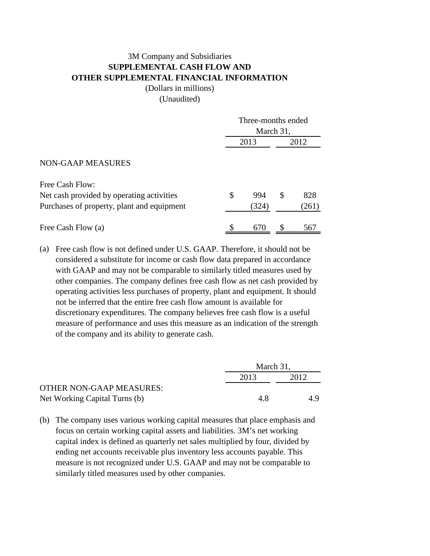# 3M Company and Subsidiaries **SUPPLEMENTAL CASH FLOW AND OTHER SUPPLEMENTAL FINANCIAL INFORMATION**

(Dollars in millions)

(Unaudited)

|                                            | Three-months ended |       |      |       |
|--------------------------------------------|--------------------|-------|------|-------|
|                                            | March 31,          |       |      |       |
|                                            | 2013               |       | 2012 |       |
| <b>NON-GAAP MEASURES</b>                   |                    |       |      |       |
| Free Cash Flow:                            |                    |       |      |       |
| Net cash provided by operating activities  | \$                 | 994   | \$   | 828   |
| Purchases of property, plant and equipment |                    | (324) |      | (261) |
| Free Cash Flow (a)                         |                    | 670   |      | 567   |

(a) Free cash flow is not defined under U.S. GAAP. Therefore, it should not be considered a substitute for income or cash flow data prepared in accordance with GAAP and may not be comparable to similarly titled measures used by other companies. The company defines free cash flow as net cash provided by operating activities less purchases of property, plant and equipment. It should not be inferred that the entire free cash flow amount is available for discretionary expenditures. The company believes free cash flow is a useful measure of performance and uses this measure as an indication of the strength of the company and its ability to generate cash.

|                                 |      | March 31, |  |  |
|---------------------------------|------|-----------|--|--|
|                                 | 2013 | 2012      |  |  |
| <b>OTHER NON-GAAP MEASURES:</b> |      |           |  |  |
| Net Working Capital Turns (b)   | 4.8  | 4.9       |  |  |

(b) The company uses various working capital measures that place emphasis and focus on certain working capital assets and liabilities. 3M's net working capital index is defined as quarterly net sales multiplied by four, divided by ending net accounts receivable plus inventory less accounts payable. This measure is not recognized under U.S. GAAP and may not be comparable to similarly titled measures used by other companies.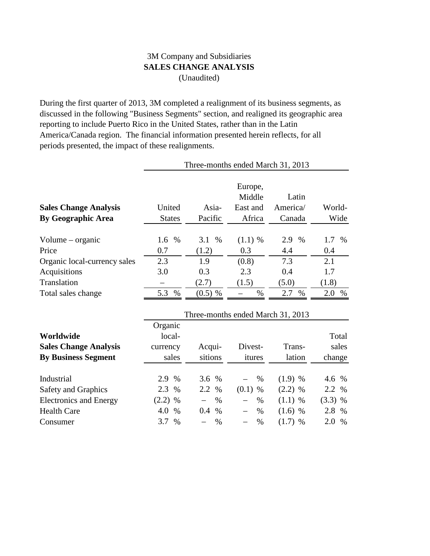## 3M Company and Subsidiaries **SALES CHANGE ANALYSIS** (Unaudited)

During the first quarter of 2013, 3M completed a realignment of its business segments, as discussed in the following "Business Segments" section, and realigned its geographic area reporting to include Puerto Rico in the United States, rather than in the Latin America/Canada region. The financial information presented herein reflects, for all periods presented, the impact of these realignments.

| Three-months ended March 31, 2013 |               |                      |                   |                                   |             |
|-----------------------------------|---------------|----------------------|-------------------|-----------------------------------|-------------|
|                                   |               |                      | Europe,<br>Middle | Latin                             |             |
| <b>Sales Change Analysis</b>      | United        | Asia-                | East and          | America/                          | World-      |
| <b>By Geographic Area</b>         | <b>States</b> | Pacific              | Africa            | Canada                            | Wide        |
| Volume – organic                  | 1.6<br>$\%$   | 3.1<br>$\%$          | $(1.1)$ %         | 2.9<br>$\%$                       | 1.7<br>$\%$ |
| Price                             | 0.7           | (1.2)                | 0.3               | 4.4                               | 0.4         |
| Organic local-currency sales      | 2.3           | 1.9                  | (0.8)             | 7.3                               | 2.1         |
| Acquisitions                      | 3.0           | 0.3                  | 2.3               | 0.4                               | 1.7         |
| Translation                       |               | (2.7)                | (1.5)             | (5.0)                             | (1.8)       |
| Total sales change                | 5.3<br>$\%$   | $(0.5)$ %            | $\%$              | 2.7<br>$\%$                       | 2.0<br>$\%$ |
|                                   |               |                      |                   | Three-months ended March 31, 2013 |             |
|                                   | Organic       |                      |                   |                                   |             |
| Worldwide                         | local-        |                      |                   |                                   | Total       |
| <b>Sales Change Analysis</b>      | currency      | Acqui-               | Divest-           | Trans-                            | sales       |
| <b>By Business Segment</b>        | sales         | sitions              | itures            | lation                            | change      |
| Industrial                        | 2.9<br>$\%$   | 3.6<br>$\%$          | $\%$              | $(1.9)$ %                         | 4.6 %       |
| Safety and Graphics               | 2.3<br>$\%$   | 2.2<br>$\%$          | (0.1)<br>$\%$     | $(2.2)$ %                         | 2.2<br>$\%$ |
| <b>Electronics and Energy</b>     | $(2.2)$ %     | $\%$                 | $\%$              | $(1.1)$ %                         | $(3.3)$ %   |
| <b>Health Care</b>                | 4.0<br>$\%$   | 0.4<br>$\frac{0}{0}$ | $\%$              | $(1.6)$ %                         | 2.8 %       |
| Consumer                          | 3.7<br>%      | %                    | %                 | $(1.7)$ %                         | 2.0 %       |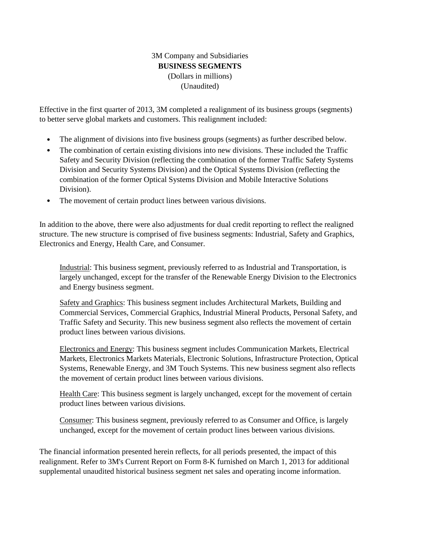### 3M Company and Subsidiaries **BUSINESS SEGMENTS** (Dollars in millions) (Unaudited)

Effective in the first quarter of 2013, 3M completed a realignment of its business groups (segments) to better serve global markets and customers. This realignment included:

- The alignment of divisions into five business groups (segments) as further described below.
- The combination of certain existing divisions into new divisions. These included the Traffic Safety and Security Division (reflecting the combination of the former Traffic Safety Systems Division and Security Systems Division) and the Optical Systems Division (reflecting the combination of the former Optical Systems Division and Mobile Interactive Solutions Division).
- The movement of certain product lines between various divisions.

In addition to the above, there were also adjustments for dual credit reporting to reflect the realigned structure. The new structure is comprised of five business segments: Industrial, Safety and Graphics, Electronics and Energy, Health Care, and Consumer.

Industrial: This business segment, previously referred to as Industrial and Transportation, is largely unchanged, except for the transfer of the Renewable Energy Division to the Electronics and Energy business segment.

Safety and Graphics: This business segment includes Architectural Markets, Building and Commercial Services, Commercial Graphics, Industrial Mineral Products, Personal Safety, and Traffic Safety and Security. This new business segment also reflects the movement of certain product lines between various divisions.

Electronics and Energy: This business segment includes Communication Markets, Electrical Markets, Electronics Markets Materials, Electronic Solutions, Infrastructure Protection, Optical Systems, Renewable Energy, and 3M Touch Systems. This new business segment also reflects the movement of certain product lines between various divisions.

Health Care: This business segment is largely unchanged, except for the movement of certain product lines between various divisions.

Consumer: This business segment, previously referred to as Consumer and Office, is largely unchanged, except for the movement of certain product lines between various divisions.

The financial information presented herein reflects, for all periods presented, the impact of this realignment. Refer to 3M's Current Report on Form 8-K furnished on March 1, 2013 for additional supplemental unaudited historical business segment net sales and operating income information.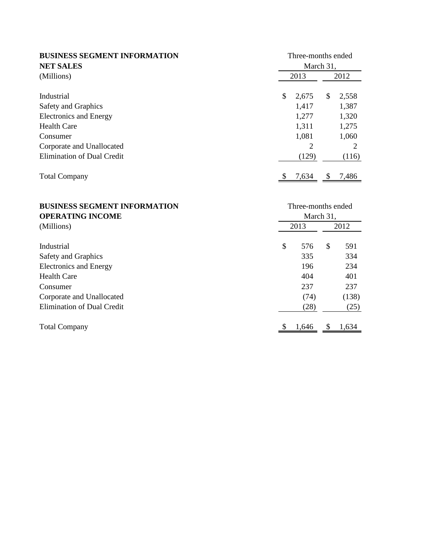| <b>BUSINESS SEGMENT INFORMATION</b><br><b>NET SALES</b> | Three-months ended<br>March 31, |       |               |       |
|---------------------------------------------------------|---------------------------------|-------|---------------|-------|
| (Millions)                                              | 2013                            |       | 2012          |       |
| Industrial                                              | \$                              | 2,675 | \$.           | 2,558 |
| Safety and Graphics                                     |                                 | 1,417 |               | 1,387 |
| <b>Electronics and Energy</b>                           |                                 | 1,277 |               | 1,320 |
| <b>Health Care</b>                                      |                                 | 1,311 |               | 1,275 |
| Consumer                                                |                                 | 1,081 |               | 1,060 |
| Corporate and Unallocated                               |                                 | 2     |               | 2     |
| <b>Elimination of Dual Credit</b>                       |                                 | (129) |               | (116) |
| <b>Total Company</b>                                    |                                 | 7,634 | <sup>\$</sup> | 7,486 |
|                                                         |                                 |       |               |       |

| <b>BUSINESS SEGMENT INFORMATION</b> | Three-months ended |       |      |       |
|-------------------------------------|--------------------|-------|------|-------|
| <b>OPERATING INCOME</b>             | March 31,          |       |      |       |
| (Millions)                          | 2013               |       | 2012 |       |
| Industrial                          | \$                 | 576   | \$   | 591   |
| Safety and Graphics                 |                    | 335   |      | 334   |
| <b>Electronics and Energy</b>       |                    | 196   |      | 234   |
| <b>Health Care</b>                  |                    | 404   |      | 401   |
| Consumer                            |                    | 237   |      | 237   |
| Corporate and Unallocated           |                    | (74)  |      | (138) |
| <b>Elimination of Dual Credit</b>   |                    | (28)  |      | (25)  |
| <b>Total Company</b>                |                    | 1,646 |      | 1,634 |